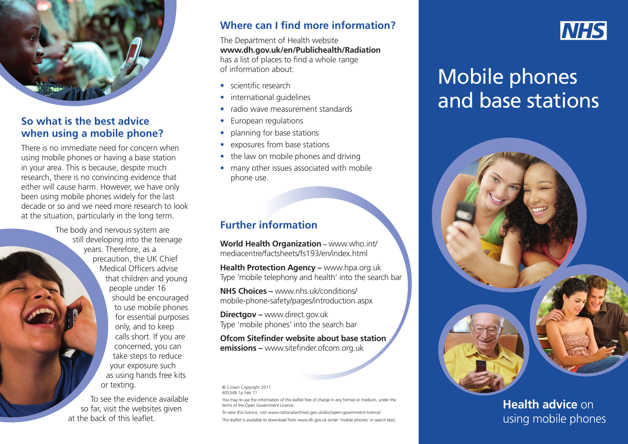

#### **So what is the best advice when using a mobile phone?**

There is no immediate need for concern when using mobile phones or having a base station in your area. This is because, despite much research, there is no convincing evidence that either will cause harm. However, we have only been using mobile phones widely for the last decade or so and we need more research to look at the situation, particularly in the long term.

> The body and nervous system are still developing into the teenage years. Therefore, as a precaution, the UK Chief Medical Officers advise that children and young people under 16 should be encouraged to use mobile phones for essential purposes only, and to keep calls short. If you are concerned, you can take steps to reduce your exposure such as using hands free kits or texting.

To see the evidence available so far, visit the websites given at the back of this leaflet.

### **Where can I find more information?**

The Department of Health website **www.dh.gov.uk/en/Publichealth/Radiation** has a list of places to find a whole range of information about:

- scientific research
- international guidelines
- radio wave measurement standards
- European regulations
- planning for base stations
- exposures from base stations
- the law on mobile phones and driving
- many other issues associated with mobile phone use.

## **Further information**

**World Health Organization –** [www.who.int/](http://www.who.int/mediacentre/factsheets/fs193/en/index.html) [mediacentre/factsheets/fs193/en/index.html](http://www.who.int/mediacentre/factsheets/fs193/en/index.html)

**Health Protection Agency – www.hpa.org.uk** Type 'mobile telephony and health' into the search bar

**NHS Choices –** [www.nhs.uk/conditions/](http://www.nhs.uk/conditions/mobile-phone-safety/pages/introduction.aspx) [mobile-phone-safety/pages/introduction.aspx](http://www.nhs.uk/conditions/mobile-phone-safety/pages/introduction.aspx)

**Directgov –** www.direct.gov.uk Type 'mobile phones' into the search bar

**Ofcom Sitefinder website about base station emissions –** www.sitefinder.ofcom.org.uk

#### © Crown Copyright 2011 405348 1p Feb 11

You may re-use the information of this leaflet free of charge in any format or medium, under the terms of the Open Government Licence.

To view this licence, visit www.nationalarchives.gov.uk/doc/open-government-licence/ This leaflet is available to download from www.dh.gov.uk (enter 'mobile phones' in search box).



# Mobile phones and base stations



# **Health advice** on using mobile phones